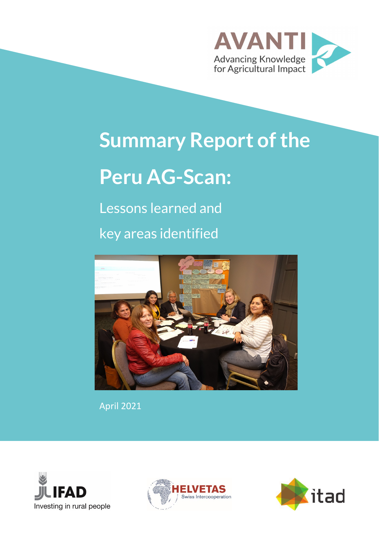

# **Summary Report of the Peru AG-Scan:**

Lessons learned and key areas identified



April 2021





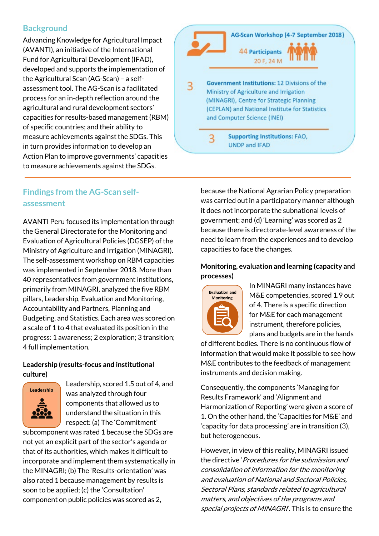## **Background**

Advancing Knowledge for Agricultural Impact (AVANTI), an initiative of the International Fund for Agricultural Development (IFAD), developed and supports the implementation of the Agricultural Scan (AG-Scan) – a selfassessment tool. The AG-Scan is a facilitated process for an in-depth reflection around the agricultural and rural development sectors' capacities for results-based management (RBM) of specific countries; and their ability to measure achievements against the SDGs. This in turn provides information to develop an Action Plan to improve governments' capacities to measure achievements against the SDGs.



# **Findings from the AG-Scan selfassessment**

AVANTI Peru focused its implementation through the General Directorate for the Monitoring and Evaluation of Agricultural Policies (DGSEP) of the Ministry of Agriculture and Irrigation (MINAGRI). The self-assessment workshop on RBM capacities was implemented in September 2018. More than 40 representatives from government institutions, primarily from MINAGRI, analyzed the five RBM pillars, Leadership, Evaluation and Monitoring, Accountability and Partners, Planning and Budgeting, and Statistics. Each area was scored on a scale of 1 to 4 that evaluated its position in the progress: 1 awareness; 2 exploration; 3 transition; 4 full implementation.

#### **Leadership (results-focus and institutional culture)**



Leadership, scored 1.5 out of 4, and was analyzed through four components that allowed us to understand the situation in this respect: (a) The 'Commitment'

subcomponent was rated 1 because the SDGs are not yet an explicit part of the sector's agenda or that of its authorities, which makes it difficult to incorporate and implement them systematically in the MINAGRI; (b) The 'Results-orientation' was also rated 1 because management by results is soon to be applied; (c) the 'Consultation' component on public policies was scored as 2,

because the National Agrarian Policy preparation was carried out in a participatory manner although it does not incorporate the subnational levels of government; and (d) 'Learning' was scored as 2 because there is directorate-level awareness of the need to learn from the experiences and to develop capacities to face the changes.

#### **Monitoring, evaluation and learning (capacity and processes)**



In MINAGRI many instances have M&E competencies, scored 1.9 out of 4. There is a specific direction for M&E for each management instrument, therefore policies, plans and budgets are in the hands

of different bodies. There is no continuous flow of information that would make it possible to see how M&E contributes to the feedback of management instruments and decision making.

Consequently, the components 'Managing for Results Framework' and 'Alignment and Harmonization of Reporting' were given a score of 1. On the other hand, the 'Capacities for M&E' and 'capacity for data processing' are in transition (3), but heterogeneous.

However, in view of this reality, MINAGRI issued the directive 'Procedures for the submission and consolidation of information for the monitoring and evaluation of National and Sectoral Policies, Sectoral Plans, standards related to agricultural matters, and objectives of the programs and special projects of MINAGRI. This is to ensure the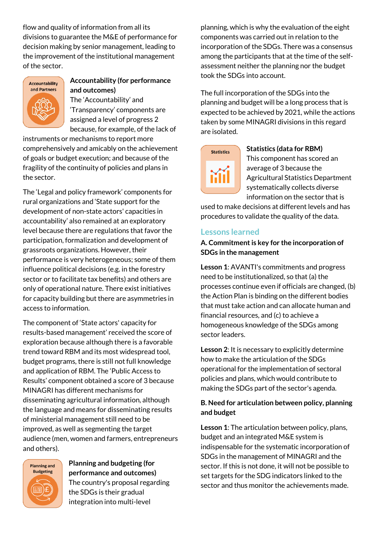flow and quality of information from all its divisions to guarantee the M&E of performance for decision making by senior management, leading to the improvement of the institutional management of the sector.



# **Accountability (for performance and outcomes)**

The 'Accountability' and 'Transparency' components are assigned a level of progress 2 because, for example, of the lack of

instruments or mechanisms to report more comprehensively and amicably on the achievement of goals or budget execution; and because of the fragility of the continuity of policies and plans in the sector.

The 'Legal and policy framework' components for rural organizations and 'State support for the development of non-state actors' capacities in accountability' also remained at an exploratory level because there are regulations that favor the participation, formalization and development of grassroots organizations. However, their performance is very heterogeneous; some of them influence political decisions (e.g. in the forestry sector or to facilitate tax benefits) and others are only of operational nature. There exist initiatives for capacity building but there are asymmetries in access to information.

The component of 'State actors' capacity for results-based management' received the score of exploration because although there is a favorable trend toward RBM and its most widespread tool, budget programs, there is still not full knowledge and application of RBM. The 'Public Access to Results' component obtained a score of 3 because MINAGRI has different mechanisms for disseminating agricultural information, although the language and means for disseminating results of ministerial management still need to be improved, as well as segmenting the target audience (men, women and farmers, entrepreneurs and others).



#### **Planning and budgeting (for performance and outcomes)** The country's proposal regarding the SDGs is their gradual

integration into multi-level

planning, which is why the evaluation of the eight components was carried out in relation to the incorporation of the SDGs. There was a consensus among the participants that at the time of the selfassessment neither the planning nor the budget took the SDGs into account.

The full incorporation of the SDGs into the planning and budget will be a long process that is expected to be achieved by 2021, while the actions taken by some MINAGRI divisions in this regard are isolated.

# **Statistics**

#### **Statistics (data for RBM)**

This component has scored an average of 3 because the Agricultural Statistics Department systematically collects diverse information on the sector that is

used to make decisions at different levels and has procedures to validate the quality of the data.

## **Lessons learned**

#### **A. Commitment is key for the incorporation of SDGs in the management**

**Lesson 1**: AVANTI's commitments and progress need to be institutionalized, so that (a) the processes continue even if officials are changed, (b) the Action Plan is binding on the different bodies that must take action and can allocate human and financial resources, and (c) to achieve a homogeneous knowledge of the SDGs among sector leaders.

**Lesson 2**: It is necessary to explicitly determine how to make the articulation of the SDGs operational for the implementation of sectoral policies and plans, which would contribute to making the SDGs part of the sector's agenda.

#### **B. Need for articulation between policy, planning and budget**

**Lesson 1**: The articulation between policy, plans, budget and an integrated M&E system is indispensable for the systematic incorporation of SDGs in the management of MINAGRI and the sector. If this is not done, it will not be possible to set targets for the SDG indicators linked to the sector and thus monitor the achievements made.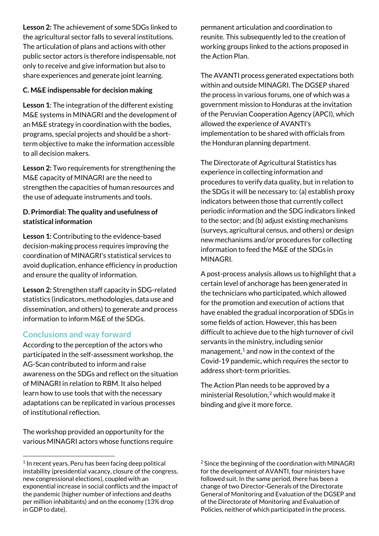**Lesson 2:** The achievement of some SDGs linked to the agricultural sector falls to several institutions. The articulation of plans and actions with other public sector actors is therefore indispensable, not only to receive and give information but also to share experiences and generate joint learning.

#### **C. M&E indispensable for decision making**

**Lesson 1**: The integration of the different existing M&E systems in MINAGRI and the development of an M&E strategy in coordination with the bodies, programs, special projects and should be a shortterm objective to make the information accessible to all decision makers.

**Lesson 2:** Two requirements for strengthening the M&E capacity of MINAGRI are the need to strengthen the capacities of human resources and the use of adequate instruments and tools.

#### **D. Primordial: The quality and usefulness of statistical information**

**Lesson 1:** Contributing to the evidence-based decision-making process requires improving the coordination of MINAGRI's statistical services to avoid duplication, enhance efficiency in production and ensure the quality of information.

**Lesson 2:** Strengthen staff capacity in SDG-related statistics (indicators, methodologies, data use and dissemination, and others) to generate and process information to inform M&E of the SDGs.

# **Conclusions and way forward**

According to the perception of the actors who participated in the self-assessment workshop, the AG-Scan contributed to inform and raise awareness on the SDGs and reflect on the situation of MINAGRI in relation to RBM. It also helped learn how to use tools that with the necessary adaptations can be replicated in various processes of institutional reflection.

The workshop provided an opportunity for the various MINAGRI actors whose functions require

permanent articulation and coordination to reunite. This subsequently led to the creation of working groups linked to the actions proposed in the Action Plan.

The AVANTI process generated expectations both within and outside MINAGRI. The DGSEP shared the process in various forums, one of which was a government mission to Honduras at the invitation of the Peruvian Cooperation Agency (APCI), which allowed the experience of AVANTI's implementation to be shared with officials from the Honduran planning department.

The Directorate of Agricultural Statistics has experience in collecting information and procedures to verify data quality, but in relation to the SDGs it will be necessary to: (a) establish proxy indicators between those that currently collect periodic information and the SDG indicators linked to the sector; and (b) adjust existing mechanisms (surveys, agricultural census, and others) or design new mechanisms and/or procedures for collecting information to feed the M&E of the SDGs in MINAGRI.

A post-process analysis allows us to highlight that a certain level of anchorage has been generated in the technicians who participated, which allowed for the promotion and execution of actions that have enabled the gradual incorporation of SDGs in some fields of action. However, this has been difficult to achieve due to the high turnover of civil servants in the ministry, including senior management, $<sup>1</sup>$  $<sup>1</sup>$  $<sup>1</sup>$  and now in the context of the</sup> Covid-19 pandemic, which requires the sector to address short-term priorities.

The Action Plan needs to be approved by a ministerial Resolution, [2](#page-3-0) which would make it binding and give it more force.

<span id="page-3-0"></span><sup>&</sup>lt;sup>1</sup> In recent years, Peru has been facing deep political instability (presidential vacancy, closure of the congress, new congressional elections), coupled with an exponential increase in social conflicts and the impact of the pandemic (higher number of infections and deaths per million inhabitants) and on the economy (13% drop in GDP to date).

<sup>&</sup>lt;sup>2</sup> Since the beginning of the coordination with MINAGRI for the development of AVANTI, four ministers have followed suit. In the same period, there has been a change of two Director-Generals of the Directorate General of Monitoring and Evaluation of the DGSEP and of the Directorate of Monitoring and Evaluation of Policies, neither of which participated in the process.